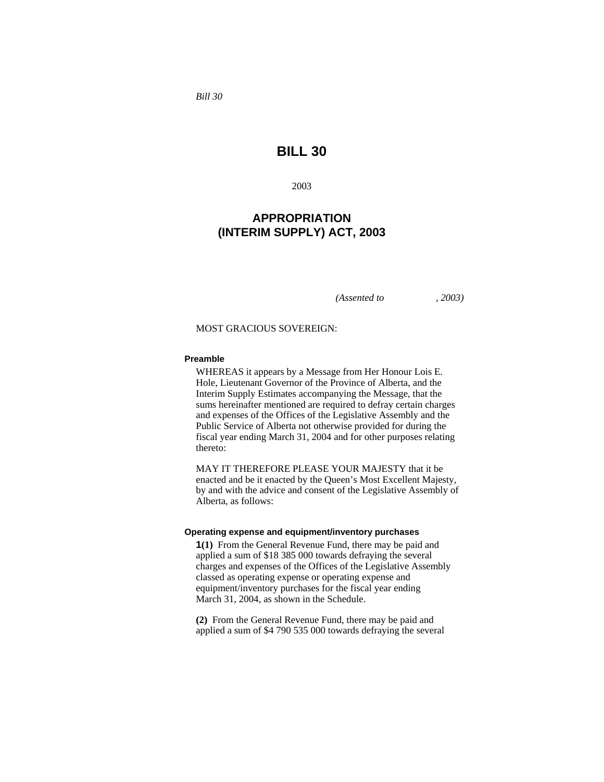*Bill 30* 

# **BILL 30**

2003

## **APPROPRIATION (INTERIM SUPPLY) ACT, 2003**

*(Assented to , 2003)* 

#### MOST GRACIOUS SOVEREIGN:

#### **Preamble**

WHEREAS it appears by a Message from Her Honour Lois E. Hole, Lieutenant Governor of the Province of Alberta, and the Interim Supply Estimates accompanying the Message, that the sums hereinafter mentioned are required to defray certain charges and expenses of the Offices of the Legislative Assembly and the Public Service of Alberta not otherwise provided for during the fiscal year ending March 31, 2004 and for other purposes relating thereto:

MAY IT THEREFORE PLEASE YOUR MAJESTY that it be enacted and be it enacted by the Queen's Most Excellent Majesty, by and with the advice and consent of the Legislative Assembly of Alberta, as follows:

#### **Operating expense and equipment/inventory purchases**

**1(1)** From the General Revenue Fund, there may be paid and applied a sum of \$18 385 000 towards defraying the several charges and expenses of the Offices of the Legislative Assembly classed as operating expense or operating expense and equipment/inventory purchases for the fiscal year ending March 31, 2004, as shown in the Schedule.

**(2)** From the General Revenue Fund, there may be paid and applied a sum of \$4 790 535 000 towards defraying the several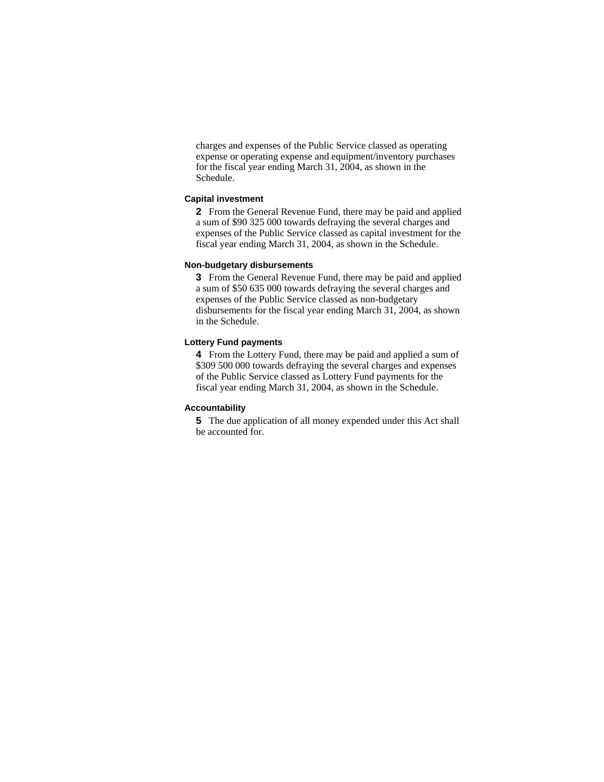charges and expenses of the Public Service classed as operating expense or operating expense and equipment/inventory purchases for the fiscal year ending March 31, 2004, as shown in the Schedule.

#### **Capital investment**

**2** From the General Revenue Fund, there may be paid and applied a sum of \$90 325 000 towards defraying the several charges and expenses of the Public Service classed as capital investment for the fiscal year ending March 31, 2004, as shown in the Schedule.

#### **Non-budgetary disbursements**

**3** From the General Revenue Fund, there may be paid and applied a sum of \$50 635 000 towards defraying the several charges and expenses of the Public Service classed as non-budgetary disbursements for the fiscal year ending March 31, 2004, as shown in the Schedule.

#### **Lottery Fund payments**

**4** From the Lottery Fund, there may be paid and applied a sum of \$309 500 000 towards defraying the several charges and expenses of the Public Service classed as Lottery Fund payments for the fiscal year ending March 31, 2004, as shown in the Schedule.

#### **Accountability**

**5** The due application of all money expended under this Act shall be accounted for.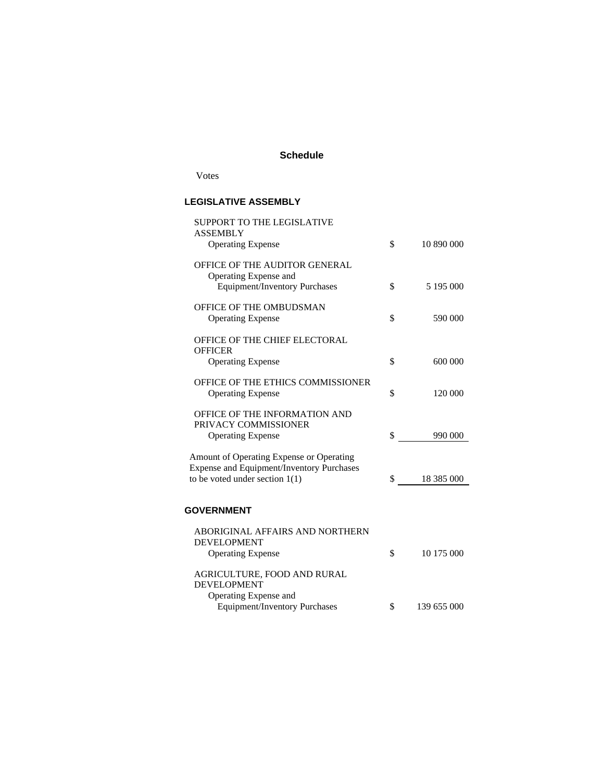### **Schedule**

Votes

## **LEGISLATIVE ASSEMBLY**

| <b>SUPPORT TO THE LEGISLATIVE</b>                                                            |                   |
|----------------------------------------------------------------------------------------------|-------------------|
| <b>ASSEMBLY</b><br><b>Operating Expense</b>                                                  | \$<br>10 890 000  |
| OFFICE OF THE AUDITOR GENERAL                                                                |                   |
| Operating Expense and                                                                        |                   |
| <b>Equipment/Inventory Purchases</b>                                                         | \$<br>5 195 000   |
| OFFICE OF THE OMBUDSMAN                                                                      |                   |
| <b>Operating Expense</b>                                                                     | \$<br>590 000     |
|                                                                                              |                   |
| OFFICE OF THE CHIEF ELECTORAL<br><b>OFFICER</b>                                              |                   |
| <b>Operating Expense</b>                                                                     | \$<br>600 000     |
|                                                                                              |                   |
| OFFICE OF THE ETHICS COMMISSIONER<br><b>Operating Expense</b>                                | \$<br>120 000     |
|                                                                                              |                   |
| OFFICE OF THE INFORMATION AND<br>PRIVACY COMMISSIONER                                        |                   |
| <b>Operating Expense</b>                                                                     | \$<br>990 000     |
|                                                                                              |                   |
| Amount of Operating Expense or Operating<br><b>Expense and Equipment/Inventory Purchases</b> |                   |
| to be voted under section $1(1)$                                                             | \$<br>18 385 000  |
|                                                                                              |                   |
| <b>GOVERNMENT</b>                                                                            |                   |
|                                                                                              |                   |
| ABORIGINAL AFFAIRS AND NORTHERN                                                              |                   |
| <b>DEVELOPMENT</b>                                                                           | \$<br>10 175 000  |
| <b>Operating Expense</b>                                                                     |                   |
| AGRICULTURE, FOOD AND RURAL                                                                  |                   |
| <b>DEVELOPMENT</b>                                                                           |                   |
| Operating Expense and                                                                        |                   |
| Equipment/Inventory Purchases                                                                | \$<br>139 655 000 |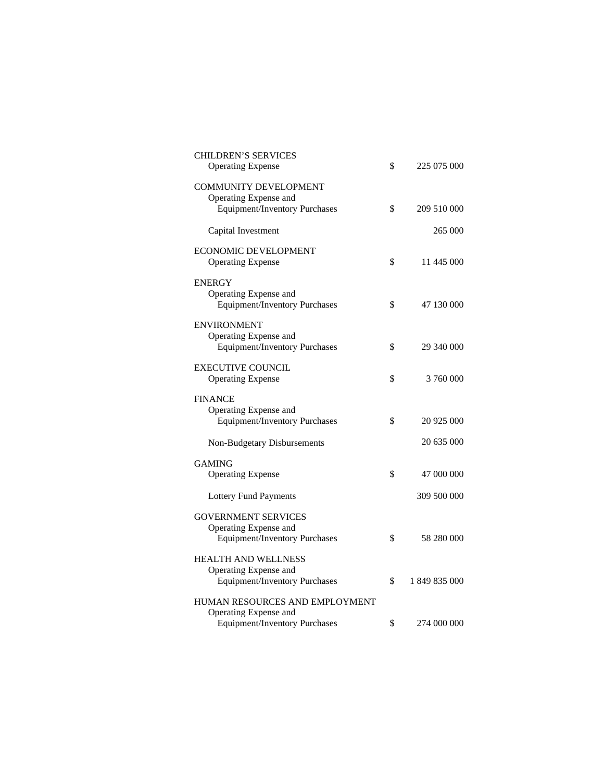| <b>CHILDREN'S SERVICES</b><br><b>Operating Expense</b>                              | \$<br>225 075 000   |
|-------------------------------------------------------------------------------------|---------------------|
| <b>COMMUNITY DEVELOPMENT</b><br>Operating Expense and                               |                     |
| <b>Equipment/Inventory Purchases</b>                                                | \$<br>209 510 000   |
| Capital Investment                                                                  | 265 000             |
| ECONOMIC DEVELOPMENT<br><b>Operating Expense</b>                                    | \$<br>11 445 000    |
| <b>ENERGY</b><br>Operating Expense and<br><b>Equipment/Inventory Purchases</b>      | \$<br>47 130 000    |
| <b>ENVIRONMENT</b><br>Operating Expense and<br><b>Equipment/Inventory Purchases</b> | \$<br>29 340 000    |
| <b>EXECUTIVE COUNCIL</b><br><b>Operating Expense</b>                                | \$<br>3 760 000     |
| <b>FINANCE</b>                                                                      |                     |
| Operating Expense and<br><b>Equipment/Inventory Purchases</b>                       | \$<br>20 925 000    |
| Non-Budgetary Disbursements                                                         | 20 635 000          |
| <b>GAMING</b>                                                                       |                     |
| <b>Operating Expense</b>                                                            | \$<br>47 000 000    |
| <b>Lottery Fund Payments</b>                                                        | 309 500 000         |
| <b>GOVERNMENT SERVICES</b>                                                          |                     |
| Operating Expense and<br><b>Equipment/Inventory Purchases</b>                       | \$<br>58 280 000    |
| <b>HEALTH AND WELLNESS</b>                                                          |                     |
| Operating Expense and<br><b>Equipment/Inventory Purchases</b>                       | \$<br>1 849 835 000 |
| HUMAN RESOURCES AND EMPLOYMENT                                                      |                     |
| Operating Expense and<br><b>Equipment/Inventory Purchases</b>                       | \$<br>274 000 000   |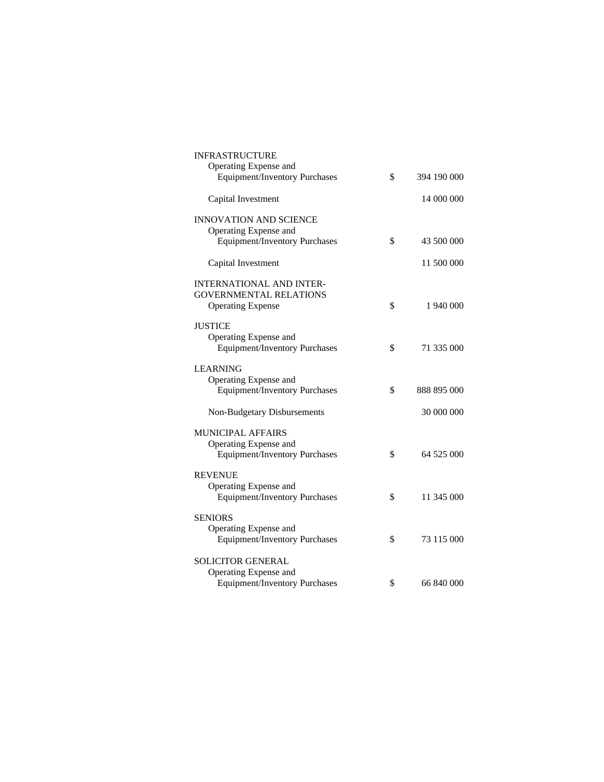| <b>INFRASTRUCTURE</b>                                            |                   |
|------------------------------------------------------------------|-------------------|
| Operating Expense and<br><b>Equipment/Inventory Purchases</b>    | \$<br>394 190 000 |
| Capital Investment                                               | 14 000 000        |
| <b>INNOVATION AND SCIENCE</b>                                    |                   |
| Operating Expense and<br>Equipment/Inventory Purchases           | \$<br>43 500 000  |
| Capital Investment                                               | 11 500 000        |
| <b>INTERNATIONAL AND INTER-</b><br><b>GOVERNMENTAL RELATIONS</b> |                   |
| <b>Operating Expense</b>                                         | \$<br>1 940 000   |
| <b>JUSTICE</b><br>Operating Expense and                          |                   |
| <b>Equipment/Inventory Purchases</b>                             | \$<br>71 335 000  |
| LEARNING<br>Operating Expense and                                |                   |
| <b>Equipment/Inventory Purchases</b>                             | \$<br>888 895 000 |
| <b>Non-Budgetary Disbursements</b>                               | 30 000 000        |
| <b>MUNICIPAL AFFAIRS</b><br>Operating Expense and                |                   |
| <b>Equipment/Inventory Purchases</b>                             | \$<br>64 525 000  |
| <b>REVENUE</b><br>Operating Expense and                          |                   |
| <b>Equipment/Inventory Purchases</b>                             | \$<br>11 345 000  |
| <b>SENIORS</b><br>Operating Expense and                          |                   |
| <b>Equipment/Inventory Purchases</b>                             | \$<br>73 115 000  |
| <b>SOLICITOR GENERAL</b><br>Operating Expense and                |                   |
| <b>Equipment/Inventory Purchases</b>                             | \$<br>66 840 000  |